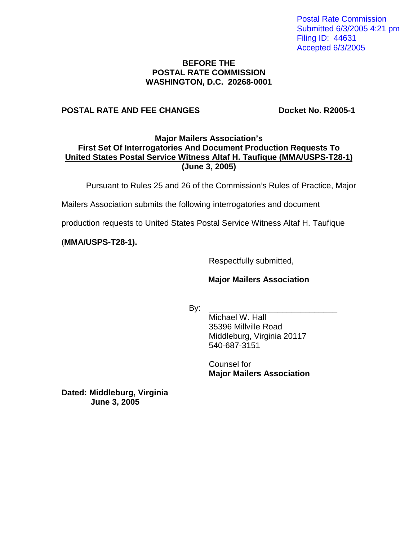Postal Rate Commission Submitted 6/3/2005 4:21 pm Filing ID: 44631 Accepted 6/3/2005

#### **BEFORE THE POSTAL RATE COMMISSION WASHINGTON, D.C. 20268-0001**

### **POSTAL RATE AND FEE CHANGES Docket No. R2005-1**

### **Major Mailers Association's First Set Of Interrogatories And Document Production Requests To United States Postal Service Witness Altaf H. Taufique (MMA/USPS-T28-1) (June 3, 2005)**

Pursuant to Rules 25 and 26 of the Commission's Rules of Practice, Major

Mailers Association submits the following interrogatories and document

production requests to United States Postal Service Witness Altaf H. Taufique

(**MMA/USPS-T28-1).**

Respectfully submitted,

# **Major Mailers Association**

By: \_\_\_\_\_\_\_\_\_\_\_\_\_\_\_\_\_\_\_\_\_\_\_\_\_\_\_\_

Michael W. Hall 35396 Millville Road Middleburg, Virginia 20117 540-687-3151

Counsel for **Major Mailers Association** 

**Dated: Middleburg, Virginia June 3, 2005**